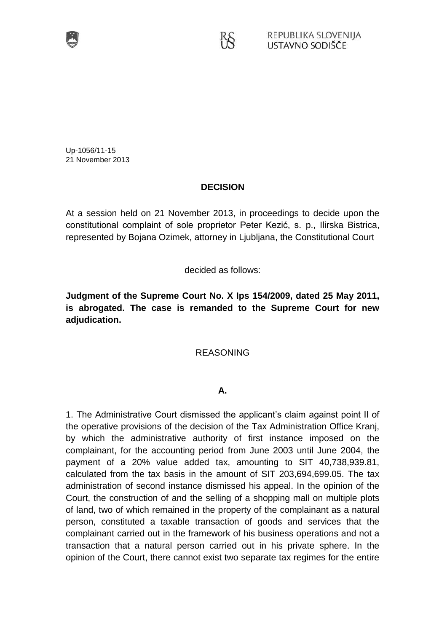

Up-1056/11-15 21 November 2013

## **DECISION**

KŠ

At a session held on 21 November 2013, in proceedings to decide upon the constitutional complaint of sole proprietor Peter Kezić, s. p., Ilirska Bistrica, represented by Bojana Ozimek, attorney in Ljubljana, the Constitutional Court

decided as follows:

**Judgment of the Supreme Court No. X Ips 154/2009, dated 25 May 2011, is abrogated. The case is remanded to the Supreme Court for new adjudication.**

## REASONING

## **A.**

1. The Administrative Court dismissed the applicant's claim against point II of the operative provisions of the decision of the Tax Administration Office Kranj, by which the administrative authority of first instance imposed on the complainant, for the accounting period from June 2003 until June 2004, the payment of a 20% value added tax, amounting to SIT 40,738,939.81, calculated from the tax basis in the amount of SIT 203,694,699.05. The tax administration of second instance dismissed his appeal. In the opinion of the Court, the construction of and the selling of a shopping mall on multiple plots of land, two of which remained in the property of the complainant as a natural person, constituted a taxable transaction of goods and services that the complainant carried out in the framework of his business operations and not a transaction that a natural person carried out in his private sphere. In the opinion of the Court, there cannot exist two separate tax regimes for the entire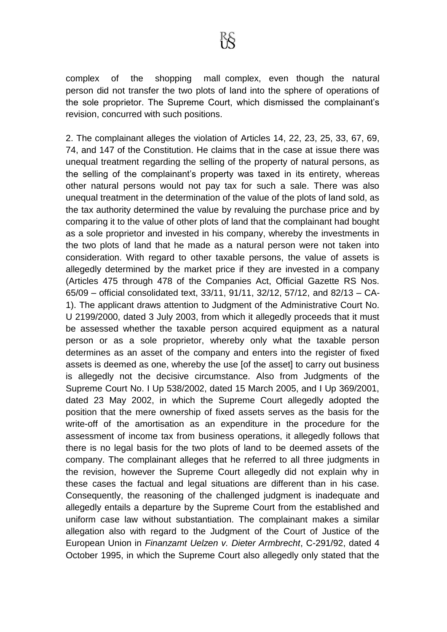complex of the shopping mall complex, even though the natural person did not transfer the two plots of land into the sphere of operations of the sole proprietor. The Supreme Court, which dismissed the complainant's revision, concurred with such positions.

2. The complainant alleges the violation of Articles 14, 22, 23, 25, 33, 67, 69, 74, and 147 of the Constitution. He claims that in the case at issue there was unequal treatment regarding the selling of the property of natural persons, as the selling of the complainant's property was taxed in its entirety, whereas other natural persons would not pay tax for such a sale. There was also unequal treatment in the determination of the value of the plots of land sold, as the tax authority determined the value by revaluing the purchase price and by comparing it to the value of other plots of land that the complainant had bought as a sole proprietor and invested in his company, whereby the investments in the two plots of land that he made as a natural person were not taken into consideration. With regard to other taxable persons, the value of assets is allegedly determined by the market price if they are invested in a company (Articles 475 through 478 of the Companies Act, Official Gazette RS Nos. 65/09 – official consolidated text, 33/11, 91/11, 32/12, 57/12, and 82/13 – CA-1). The applicant draws attention to Judgment of the Administrative Court No. U 2199/2000, dated 3 July 2003, from which it allegedly proceeds that it must be assessed whether the taxable person acquired equipment as a natural person or as a sole proprietor, whereby only what the taxable person determines as an asset of the company and enters into the register of fixed assets is deemed as one, whereby the use [of the asset] to carry out business is allegedly not the decisive circumstance. Also from Judgments of the Supreme Court No. I Up 538/2002, dated 15 March 2005, and I Up 369/2001, dated 23 May 2002, in which the Supreme Court allegedly adopted the position that the mere ownership of fixed assets serves as the basis for the write-off of the amortisation as an expenditure in the procedure for the assessment of income tax from business operations, it allegedly follows that there is no legal basis for the two plots of land to be deemed assets of the company. The complainant alleges that he referred to all three judgments in the revision, however the Supreme Court allegedly did not explain why in these cases the factual and legal situations are different than in his case. Consequently, the reasoning of the challenged judgment is inadequate and allegedly entails a departure by the Supreme Court from the established and uniform case law without substantiation. The complainant makes a similar allegation also with regard to the Judgment of the Court of Justice of the European Union in *Finanzamt Uelzen v. Dieter Armbrecht*, C-291/92, dated 4 October 1995, in which the Supreme Court also allegedly only stated that the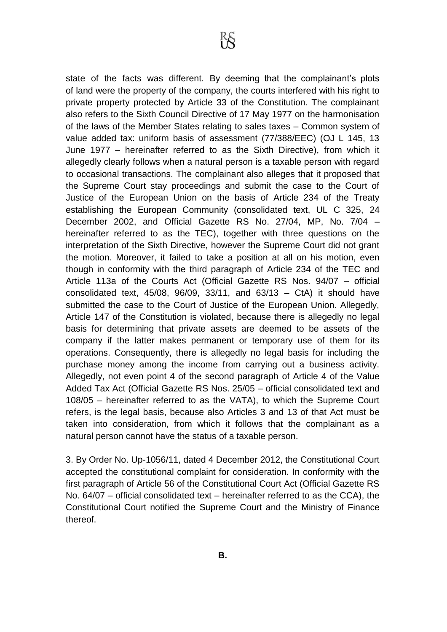state of the facts was different. By deeming that the complainant's plots of land were the property of the company, the courts interfered with his right to private property protected by Article 33 of the Constitution. The complainant also refers to the Sixth Council Directive of 17 May 1977 on the harmonisation of the laws of the Member States relating to sales taxes – Common system of value added tax: uniform basis of assessment (77/388/EEC) (OJ L 145, 13 June 1977 – hereinafter referred to as the Sixth Directive), from which it allegedly clearly follows when a natural person is a taxable person with regard to occasional transactions. The complainant also alleges that it proposed that the Supreme Court stay proceedings and submit the case to the Court of Justice of the European Union on the basis of Article 234 of the Treaty establishing the European Community (consolidated text, UL C 325, 24 December 2002, and Official Gazette RS No. 27/04, MP, No. 7/04 – hereinafter referred to as the TEC), together with three questions on the interpretation of the Sixth Directive, however the Supreme Court did not grant the motion. Moreover, it failed to take a position at all on his motion, even though in conformity with the third paragraph of Article 234 of the TEC and Article 113a of the Courts Act (Official Gazette RS Nos. 94/07 – official consolidated text,  $45/08$ ,  $96/09$ ,  $33/11$ , and  $63/13$  – CtA) it should have submitted the case to the Court of Justice of the European Union. Allegedly, Article 147 of the Constitution is violated, because there is allegedly no legal basis for determining that private assets are deemed to be assets of the company if the latter makes permanent or temporary use of them for its operations. Consequently, there is allegedly no legal basis for including the purchase money among the income from carrying out a business activity. Allegedly, not even point 4 of the second paragraph of Article 4 of the Value Added Tax Act (Official Gazette RS Nos. 25/05 – official consolidated text and 108/05 – hereinafter referred to as the VATA), to which the Supreme Court refers, is the legal basis, because also Articles 3 and 13 of that Act must be taken into consideration, from which it follows that the complainant as a natural person cannot have the status of a taxable person.

3. By Order No. Up-1056/11, dated 4 December 2012, the Constitutional Court accepted the constitutional complaint for consideration. In conformity with the first paragraph of Article 56 of the Constitutional Court Act (Official Gazette RS No. 64/07 – official consolidated text – hereinafter referred to as the CCA), the Constitutional Court notified the Supreme Court and the Ministry of Finance thereof.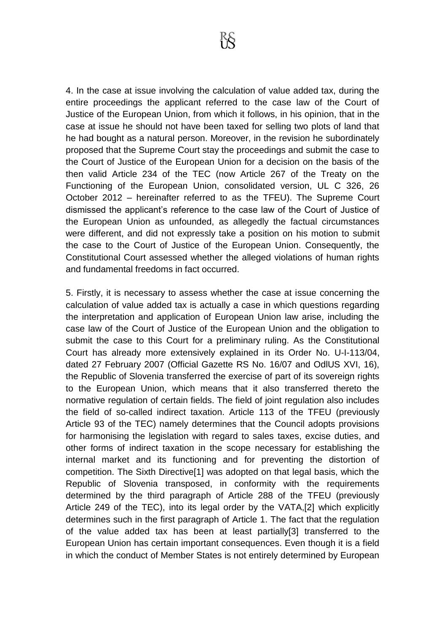4. In the case at issue involving the calculation of value added tax, during the entire proceedings the applicant referred to the case law of the Court of Justice of the European Union, from which it follows, in his opinion, that in the case at issue he should not have been taxed for selling two plots of land that he had bought as a natural person. Moreover, in the revision he subordinately proposed that the Supreme Court stay the proceedings and submit the case to the Court of Justice of the European Union for a decision on the basis of the then valid Article 234 of the TEC (now Article 267 of the Treaty on the Functioning of the European Union, consolidated version, UL C 326, 26 October 2012 – hereinafter referred to as the TFEU). The Supreme Court dismissed the applicant's reference to the case law of the Court of Justice of the European Union as unfounded, as allegedly the factual circumstances were different, and did not expressly take a position on his motion to submit the case to the Court of Justice of the European Union. Consequently, the Constitutional Court assessed whether the alleged violations of human rights and fundamental freedoms in fact occurred.

5. Firstly, it is necessary to assess whether the case at issue concerning the calculation of value added tax is actually a case in which questions regarding the interpretation and application of European Union law arise, including the case law of the Court of Justice of the European Union and the obligation to submit the case to this Court for a preliminary ruling. As the Constitutional Court has already more extensively explained in its Order No. U-I-113/04, dated 27 February 2007 (Official Gazette RS No. 16/07 and OdlUS XVI, 16), the Republic of Slovenia transferred the exercise of part of its sovereign rights to the European Union, which means that it also transferred thereto the normative regulation of certain fields. The field of joint regulation also includes the field of so-called indirect taxation. Article 113 of the TFEU (previously Article 93 of the TEC) namely determines that the Council adopts provisions for harmonising the legislation with regard to sales taxes, excise duties, and other forms of indirect taxation in the scope necessary for establishing the internal market and its functioning and for preventing the distortion of competition. The Sixth Directive[1] was adopted on that legal basis, which the Republic of Slovenia transposed, in conformity with the requirements determined by the third paragraph of Article 288 of the TFEU (previously Article 249 of the TEC), into its legal order by the VATA,[2] which explicitly determines such in the first paragraph of Article 1. The fact that the regulation of the value added tax has been at least partially[3] transferred to the European Union has certain important consequences. Even though it is a field in which the conduct of Member States is not entirely determined by European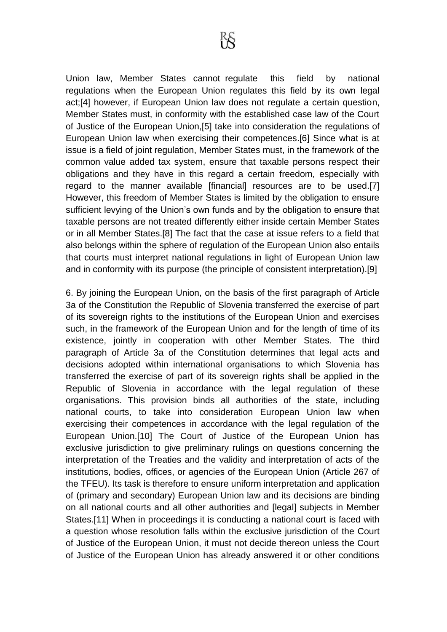Union law, Member States cannot regulate this field by national regulations when the European Union regulates this field by its own legal act;[4] however, if European Union law does not regulate a certain question, Member States must, in conformity with the established case law of the Court of Justice of the European Union,[5] take into consideration the regulations of European Union law when exercising their competences.[6] Since what is at issue is a field of joint regulation, Member States must, in the framework of the common value added tax system, ensure that taxable persons respect their obligations and they have in this regard a certain freedom, especially with regard to the manner available [financial] resources are to be used.[7] However, this freedom of Member States is limited by the obligation to ensure sufficient levying of the Union's own funds and by the obligation to ensure that taxable persons are not treated differently either inside certain Member States or in all Member States.[8] The fact that the case at issue refers to a field that also belongs within the sphere of regulation of the European Union also entails that courts must interpret national regulations in light of European Union law and in conformity with its purpose (the principle of consistent interpretation).[9]

6. By joining the European Union, on the basis of the first paragraph of Article 3a of the Constitution the Republic of Slovenia transferred the exercise of part of its sovereign rights to the institutions of the European Union and exercises such, in the framework of the European Union and for the length of time of its existence, jointly in cooperation with other Member States. The third paragraph of Article 3a of the Constitution determines that legal acts and decisions adopted within international organisations to which Slovenia has transferred the exercise of part of its sovereign rights shall be applied in the Republic of Slovenia in accordance with the legal regulation of these organisations. This provision binds all authorities of the state, including national courts, to take into consideration European Union law when exercising their competences in accordance with the legal regulation of the European Union.[10] The Court of Justice of the European Union has exclusive jurisdiction to give preliminary rulings on questions concerning the interpretation of the Treaties and the validity and interpretation of acts of the institutions, bodies, offices, or agencies of the European Union (Article 267 of the TFEU). Its task is therefore to ensure uniform interpretation and application of (primary and secondary) European Union law and its decisions are binding on all national courts and all other authorities and [legal] subjects in Member States.[11] When in proceedings it is conducting a national court is faced with a question whose resolution falls within the exclusive jurisdiction of the Court of Justice of the European Union, it must not decide thereon unless the Court of Justice of the European Union has already answered it or other conditions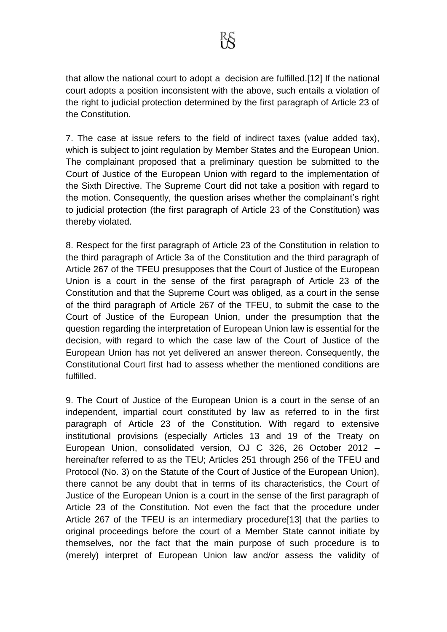that allow the national court to adopt a decision are fulfilled.[12] If the national court adopts a position inconsistent with the above, such entails a violation of the right to judicial protection determined by the first paragraph of Article 23 of the Constitution.

7. The case at issue refers to the field of indirect taxes (value added tax), which is subject to joint regulation by Member States and the European Union. The complainant proposed that a preliminary question be submitted to the Court of Justice of the European Union with regard to the implementation of the Sixth Directive. The Supreme Court did not take a position with regard to the motion. Consequently, the question arises whether the complainant's right to judicial protection (the first paragraph of Article 23 of the Constitution) was thereby violated.

8. Respect for the first paragraph of Article 23 of the Constitution in relation to the third paragraph of Article 3a of the Constitution and the third paragraph of Article 267 of the TFEU presupposes that the Court of Justice of the European Union is a court in the sense of the first paragraph of Article 23 of the Constitution and that the Supreme Court was obliged, as a court in the sense of the third paragraph of Article 267 of the TFEU, to submit the case to the Court of Justice of the European Union, under the presumption that the question regarding the interpretation of European Union law is essential for the decision, with regard to which the case law of the Court of Justice of the European Union has not yet delivered an answer thereon. Consequently, the Constitutional Court first had to assess whether the mentioned conditions are fulfilled.

9. The Court of Justice of the European Union is a court in the sense of an independent, impartial court constituted by law as referred to in the first paragraph of Article 23 of the Constitution. With regard to extensive institutional provisions (especially Articles 13 and 19 of the Treaty on European Union, consolidated version, OJ C 326, 26 October 2012 – hereinafter referred to as the TEU; Articles 251 through 256 of the TFEU and Protocol (No. 3) on the Statute of the Court of Justice of the European Union), there cannot be any doubt that in terms of its characteristics, the Court of Justice of the European Union is a court in the sense of the first paragraph of Article 23 of the Constitution. Not even the fact that the procedure under Article 267 of the TFEU is an intermediary procedure[13] that the parties to original proceedings before the court of a Member State cannot initiate by themselves, nor the fact that the main purpose of such procedure is to (merely) interpret of European Union law and/or assess the validity of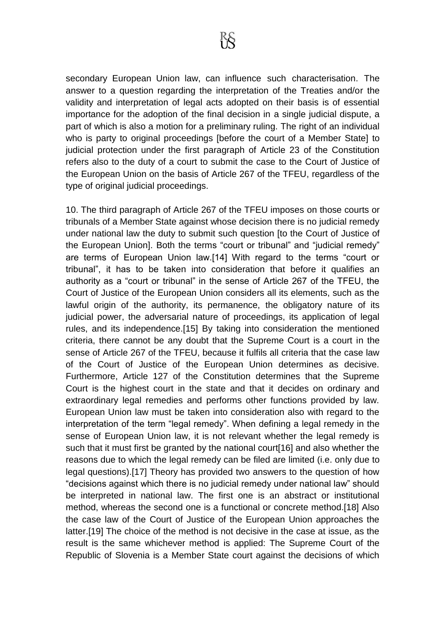secondary European Union law, can influence such characterisation. The answer to a question regarding the interpretation of the Treaties and/or the validity and interpretation of legal acts adopted on their basis is of essential importance for the adoption of the final decision in a single judicial dispute, a part of which is also a motion for a preliminary ruling. The right of an individual who is party to original proceedings [before the court of a Member State] to judicial protection under the first paragraph of Article 23 of the Constitution refers also to the duty of a court to submit the case to the Court of Justice of the European Union on the basis of Article 267 of the TFEU, regardless of the type of original judicial proceedings.

10. The third paragraph of Article 267 of the TFEU imposes on those courts or tribunals of a Member State against whose decision there is no judicial remedy under national law the duty to submit such question [to the Court of Justice of the European Union]. Both the terms "court or tribunal" and "judicial remedy" are terms of European Union law.[14] With regard to the terms "court or tribunal", it has to be taken into consideration that before it qualifies an authority as a "court or tribunal" in the sense of Article 267 of the TFEU, the Court of Justice of the European Union considers all its elements, such as the lawful origin of the authority, its permanence, the obligatory nature of its judicial power, the adversarial nature of proceedings, its application of legal rules, and its independence.[15] By taking into consideration the mentioned criteria, there cannot be any doubt that the Supreme Court is a court in the sense of Article 267 of the TFEU, because it fulfils all criteria that the case law of the Court of Justice of the European Union determines as decisive. Furthermore, Article 127 of the Constitution determines that the Supreme Court is the highest court in the state and that it decides on ordinary and extraordinary legal remedies and performs other functions provided by law. European Union law must be taken into consideration also with regard to the interpretation of the term "legal remedy". When defining a legal remedy in the sense of European Union law, it is not relevant whether the legal remedy is such that it must first be granted by the national court[16] and also whether the reasons due to which the legal remedy can be filed are limited (i.e. only due to legal questions).[17] Theory has provided two answers to the question of how "decisions against which there is no judicial remedy under national law" should be interpreted in national law. The first one is an abstract or institutional method, whereas the second one is a functional or concrete method.[18] Also the case law of the Court of Justice of the European Union approaches the latter.[19] The choice of the method is not decisive in the case at issue, as the result is the same whichever method is applied: The Supreme Court of the Republic of Slovenia is a Member State court against the decisions of which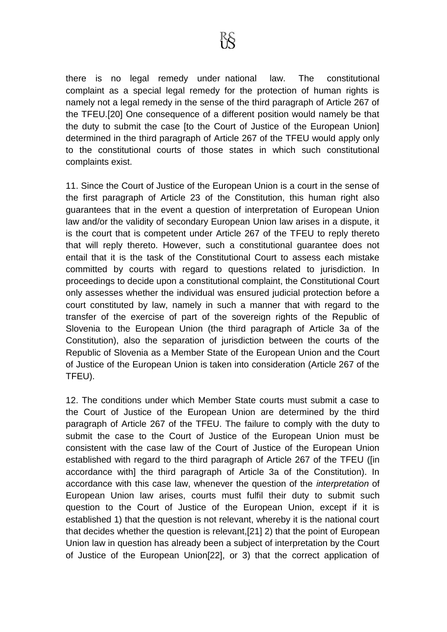there is no legal remedy under national law. The constitutional complaint as a special legal remedy for the protection of human rights is namely not a legal remedy in the sense of the third paragraph of Article 267 of the TFEU.[20] One consequence of a different position would namely be that the duty to submit the case [to the Court of Justice of the European Union] determined in the third paragraph of Article 267 of the TFEU would apply only to the constitutional courts of those states in which such constitutional complaints exist.

11. Since the Court of Justice of the European Union is a court in the sense of the first paragraph of Article 23 of the Constitution, this human right also guarantees that in the event a question of interpretation of European Union law and/or the validity of secondary European Union law arises in a dispute, it is the court that is competent under Article 267 of the TFEU to reply thereto that will reply thereto. However, such a constitutional guarantee does not entail that it is the task of the Constitutional Court to assess each mistake committed by courts with regard to questions related to jurisdiction. In proceedings to decide upon a constitutional complaint, the Constitutional Court only assesses whether the individual was ensured judicial protection before a court constituted by law, namely in such a manner that with regard to the transfer of the exercise of part of the sovereign rights of the Republic of Slovenia to the European Union (the third paragraph of Article 3a of the Constitution), also the separation of jurisdiction between the courts of the Republic of Slovenia as a Member State of the European Union and the Court of Justice of the European Union is taken into consideration (Article 267 of the TFEU).

12. The conditions under which Member State courts must submit a case to the Court of Justice of the European Union are determined by the third paragraph of Article 267 of the TFEU. The failure to comply with the duty to submit the case to the Court of Justice of the European Union must be consistent with the case law of the Court of Justice of the European Union established with regard to the third paragraph of Article 267 of the TFEU ([in accordance with] the third paragraph of Article 3a of the Constitution). In accordance with this case law, whenever the question of the *interpretation* of European Union law arises, courts must fulfil their duty to submit such question to the Court of Justice of the European Union, except if it is established 1) that the question is not relevant, whereby it is the national court that decides whether the question is relevant,[21] 2) that the point of European Union law in question has already been a subject of interpretation by the Court of Justice of the European Union[22], or 3) that the correct application of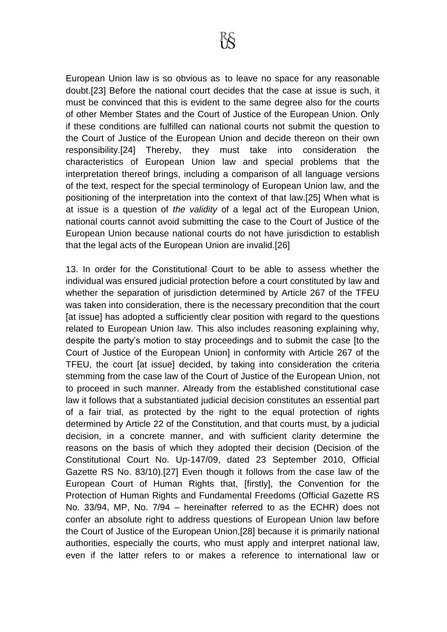European Union law is so obvious as to leave no space for any reasonable doubt.[23] Before the national court decides that the case at issue is such, it must be convinced that this is evident to the same degree also for the courts of other Member States and the Court of Justice of the European Union. Only if these conditions are fulfilled can national courts not submit the question to the Court of Justice of the European Union and decide thereon on their own responsibility.[24] Thereby, they must take into consideration the characteristics of European Union law and special problems that the interpretation thereof brings, including a comparison of all language versions of the text, respect for the special terminology of European Union law, and the positioning of the interpretation into the context of that law.[25] When what is at issue is a question of *the validity* of a legal act of the European Union, national courts cannot avoid submitting the case to the Court of Justice of the European Union because national courts do not have jurisdiction to establish that the legal acts of the European Union are invalid.[26]

13. In order for the Constitutional Court to be able to assess whether the individual was ensured judicial protection before a court constituted by law and whether the separation of jurisdiction determined by Article 267 of the TFEU was taken into consideration, there is the necessary precondition that the court [at issue] has adopted a sufficiently clear position with regard to the questions related to European Union law. This also includes reasoning explaining why, despite the party's motion to stay proceedings and to submit the case [to the Court of Justice of the European Union] in conformity with Article 267 of the TFEU, the court [at issue] decided, by taking into consideration the criteria stemming from the case law of the Court of Justice of the European Union, not to proceed in such manner. Already from the established constitutional case law it follows that a substantiated judicial decision constitutes an essential part of a fair trial, as protected by the right to the equal protection of rights determined by Article 22 of the Constitution, and that courts must, by a judicial decision, in a concrete manner, and with sufficient clarity determine the reasons on the basis of which they adopted their decision (Decision of the Constitutional Court No. Up-147/09, dated 23 September 2010, Official Gazette RS No. 83/10).[27] Even though it follows from the case law of the European Court of Human Rights that, [firstly], the Convention for the Protection of Human Rights and Fundamental Freedoms (Official Gazette RS No. 33/94, MP, No. 7/94 – hereinafter referred to as the ECHR) does not confer an absolute right to address questions of European Union law before the Court of Justice of the European Union,[28] because it is primarily national authorities, especially the courts, who must apply and interpret national law, even if the latter refers to or makes a reference to international law or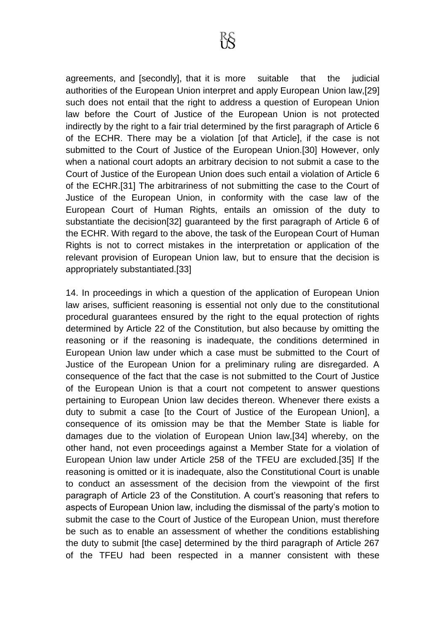agreements, and [secondly], that it is more suitable that the judicial authorities of the European Union interpret and apply European Union law,[29] such does not entail that the right to address a question of European Union law before the Court of Justice of the European Union is not protected indirectly by the right to a fair trial determined by the first paragraph of Article 6 of the ECHR. There may be a violation [of that Article], if the case is not submitted to the Court of Justice of the European Union.[30] However, only when a national court adopts an arbitrary decision to not submit a case to the Court of Justice of the European Union does such entail a violation of Article 6 of the ECHR.[31] The arbitrariness of not submitting the case to the Court of Justice of the European Union, in conformity with the case law of the European Court of Human Rights, entails an omission of the duty to substantiate the decision[32] guaranteed by the first paragraph of Article 6 of the ECHR. With regard to the above, the task of the European Court of Human Rights is not to correct mistakes in the interpretation or application of the relevant provision of European Union law, but to ensure that the decision is appropriately substantiated.[33]

14. In proceedings in which a question of the application of European Union law arises, sufficient reasoning is essential not only due to the constitutional procedural guarantees ensured by the right to the equal protection of rights determined by Article 22 of the Constitution, but also because by omitting the reasoning or if the reasoning is inadequate, the conditions determined in European Union law under which a case must be submitted to the Court of Justice of the European Union for a preliminary ruling are disregarded. A consequence of the fact that the case is not submitted to the Court of Justice of the European Union is that a court not competent to answer questions pertaining to European Union law decides thereon. Whenever there exists a duty to submit a case [to the Court of Justice of the European Union], a consequence of its omission may be that the Member State is liable for damages due to the violation of European Union law,[34] whereby, on the other hand, not even proceedings against a Member State for a violation of European Union law under Article 258 of the TFEU are excluded.[35] If the reasoning is omitted or it is inadequate, also the Constitutional Court is unable to conduct an assessment of the decision from the viewpoint of the first paragraph of Article 23 of the Constitution. A court's reasoning that refers to aspects of European Union law, including the dismissal of the party's motion to submit the case to the Court of Justice of the European Union, must therefore be such as to enable an assessment of whether the conditions establishing the duty to submit [the case] determined by the third paragraph of Article 267 of the TFEU had been respected in a manner consistent with these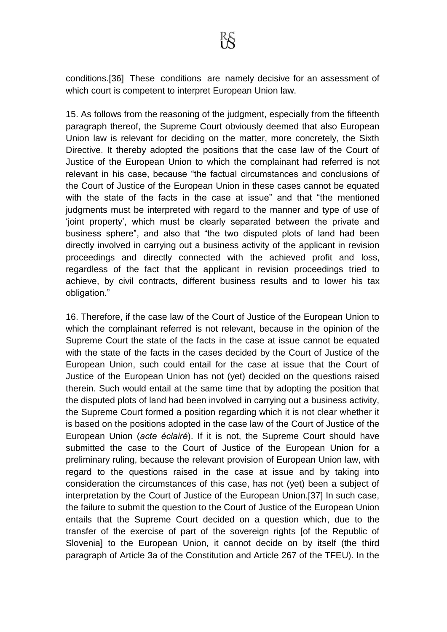conditions.[36] These conditions are namely decisive for an assessment of which court is competent to interpret European Union law.

15. As follows from the reasoning of the judgment, especially from the fifteenth paragraph thereof, the Supreme Court obviously deemed that also European Union law is relevant for deciding on the matter, more concretely, the Sixth Directive. It thereby adopted the positions that the case law of the Court of Justice of the European Union to which the complainant had referred is not relevant in his case, because "the factual circumstances and conclusions of the Court of Justice of the European Union in these cases cannot be equated with the state of the facts in the case at issue" and that "the mentioned judgments must be interpreted with regard to the manner and type of use of 'joint property', which must be clearly separated between the private and business sphere", and also that "the two disputed plots of land had been directly involved in carrying out a business activity of the applicant in revision proceedings and directly connected with the achieved profit and loss, regardless of the fact that the applicant in revision proceedings tried to achieve, by civil contracts, different business results and to lower his tax obligation."

16. Therefore, if the case law of the Court of Justice of the European Union to which the complainant referred is not relevant, because in the opinion of the Supreme Court the state of the facts in the case at issue cannot be equated with the state of the facts in the cases decided by the Court of Justice of the European Union, such could entail for the case at issue that the Court of Justice of the European Union has not (yet) decided on the questions raised therein. Such would entail at the same time that by adopting the position that the disputed plots of land had been involved in carrying out a business activity, the Supreme Court formed a position regarding which it is not clear whether it is based on the positions adopted in the case law of the Court of Justice of the European Union (*acte éclairé*). If it is not, the Supreme Court should have submitted the case to the Court of Justice of the European Union for a preliminary ruling, because the relevant provision of European Union law, with regard to the questions raised in the case at issue and by taking into consideration the circumstances of this case, has not (yet) been a subject of interpretation by the Court of Justice of the European Union.[37] In such case, the failure to submit the question to the Court of Justice of the European Union entails that the Supreme Court decided on a question which, due to the transfer of the exercise of part of the sovereign rights [of the Republic of Slovenia] to the European Union, it cannot decide on by itself (the third paragraph of Article 3a of the Constitution and Article 267 of the TFEU). In the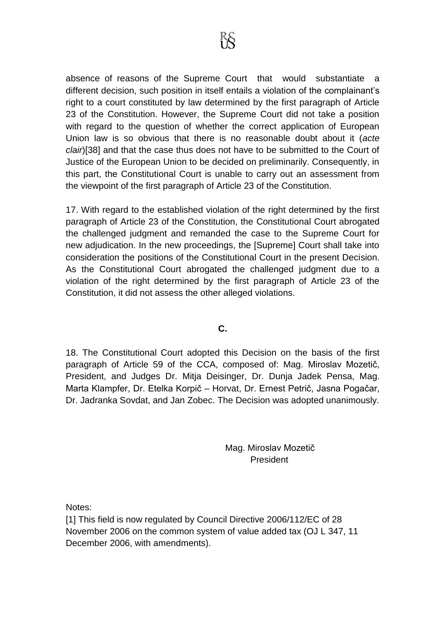absence of reasons of the Supreme Court that would substantiate a different decision, such position in itself entails a violation of the complainant's right to a court constituted by law determined by the first paragraph of Article 23 of the Constitution. However, the Supreme Court did not take a position with regard to the question of whether the correct application of European Union law is so obvious that there is no reasonable doubt about it (*acte clair*)[38] and that the case thus does not have to be submitted to the Court of Justice of the European Union to be decided on preliminarily. Consequently, in this part, the Constitutional Court is unable to carry out an assessment from the viewpoint of the first paragraph of Article 23 of the Constitution.

17. With regard to the established violation of the right determined by the first paragraph of Article 23 of the Constitution, the Constitutional Court abrogated the challenged judgment and remanded the case to the Supreme Court for new adjudication. In the new proceedings, the [Supreme] Court shall take into consideration the positions of the Constitutional Court in the present Decision. As the Constitutional Court abrogated the challenged judgment due to a violation of the right determined by the first paragraph of Article 23 of the Constitution, it did not assess the other alleged violations.

## **C.**

18. The Constitutional Court adopted this Decision on the basis of the first paragraph of Article 59 of the CCA, composed of: Mag. Miroslav Mozetič, President, and Judges Dr. Mitja Deisinger, Dr. Dunja Jadek Pensa, Mag. Marta Klampfer, Dr. Etelka Korpič – Horvat, Dr. Ernest Petrič, Jasna Pogačar, Dr. Jadranka Sovdat, and Jan Zobec. The Decision was adopted unanimously.

> Mag. Miroslav Mozetič President

Notes:

[1] This field is now regulated by Council Directive 2006/112/EC of 28 November 2006 on the common system of value added tax (OJ L 347, 11 December 2006, with amendments).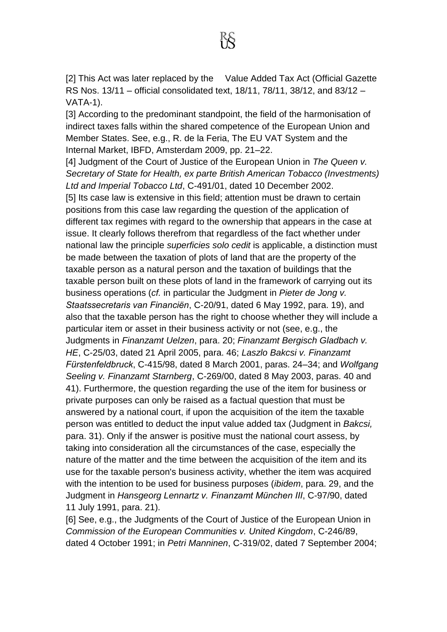[2] This Act was later replaced by the Value Added Tax Act (Official Gazette RS Nos. 13/11 – official consolidated text, 18/11, 78/11, 38/12, and 83/12 – VATA-1).

[3] According to the predominant standpoint, the field of the harmonisation of indirect taxes falls within the shared competence of the European Union and Member States. See, e.g., R. de la Feria, The EU VAT System and the Internal Market, IBFD, Amsterdam 2009, pp. 21–22.

[4] Judgment of the Court of Justice of the European Union in *The Queen v. Secretary of State for Health, ex parte British American Tobacco (Investments) Ltd and Imperial Tobacco Ltd*, C-491/01, dated 10 December 2002. [5] Its case law is extensive in this field; attention must be drawn to certain positions from this case law regarding the question of the application of different tax regimes with regard to the ownership that appears in the case at issue. It clearly follows therefrom that regardless of the fact whether under national law the principle *superficies solo cedit* is applicable, a distinction must be made between the taxation of plots of land that are the property of the taxable person as a natural person and the taxation of buildings that the taxable person built on these plots of land in the framework of carrying out its business operations (*cf.* in particular the Judgment in *Pieter de Jong v. Staatssecretaris van Financiën*, C-20/91, dated 6 May 1992, para. 19), and also that the taxable person has the right to choose whether they will include a particular item or asset in their business activity or not (see, e.g., the Judgments in *Finanzamt Uelzen*, para. 20; *Finanzamt Bergisch Gladbach v. HE*, C-25/03, dated 21 April 2005, para. 46; *Laszlo Bakcsi v. Finanzamt Fürstenfeldbruck*, C-415/98, dated 8 March 2001, paras. 24–34; and *Wolfgang Seeling v. Finanzamt Starnberg*, C-269/00, dated 8 May 2003, paras. 40 and 41). Furthermore, the question regarding the use of the item for business or private purposes can only be raised as a factual question that must be answered by a national court, if upon the acquisition of the item the taxable person was entitled to deduct the input value added tax (Judgment in *Bakcsi,*  para. 31). Only if the answer is positive must the national court assess, by taking into consideration all the circumstances of the case, especially the nature of the matter and the time between the acquisition of the item and its use for the taxable person's business activity, whether the item was acquired with the intention to be used for business purposes (*ibidem*, para. 29, and the Judgment in *Hansgeorg Lennartz v. Finanzamt München III*, C-97/90, dated 11 July 1991, para. 21).

[6] See, e.g., the Judgments of the Court of Justice of the European Union in *Commission of the European Communities v. United Kingdom*, C-246/89, dated 4 October 1991; in *Petri Manninen*, C-319/02, dated 7 September 2004;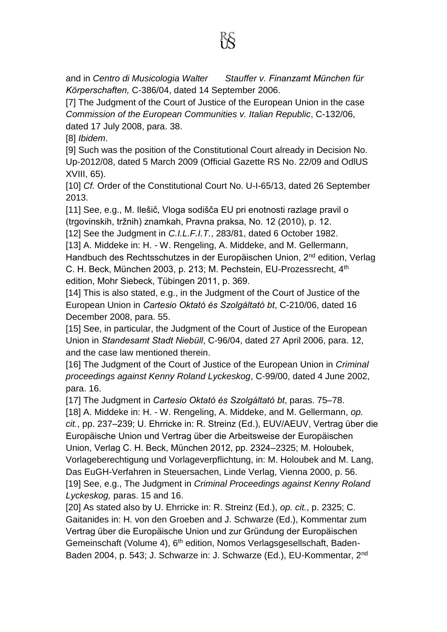and in *Centro di Musicologia Walter Stauffer v. Finanzamt München für Körperschaften,* C-386/04, dated 14 September 2006.

[7] The Judgment of the Court of Justice of the European Union in the case *Commission of the European Communities v. Italian Republic*, C-132/06, dated 17 July 2008, para. 38.

[8] *Ibidem*.

[9] Such was the position of the Constitutional Court already in Decision No. Up-2012/08, dated 5 March 2009 (Official Gazette RS No. 22/09 and OdlUS XVIII, 65).

[10] *Cf.* Order of the Constitutional Court No. U-I-65/13, dated 26 September 2013.

[11] See, e.g., M. Ilešič, Vloga sodišča EU pri enotnosti razlage pravil o (trgovinskih, tržnih) znamkah, Pravna praksa, No. 12 (2010), p. 12.

[12] See the Judgment in *C.I.L.F.I.T.*, 283/81, dated 6 October 1982.

[13] A. Middeke in: H. - W. Rengeling, A. Middeke, and M. Gellermann, Handbuch des Rechtsschutzes in der Europäischen Union, 2<sup>nd</sup> edition, Verlag C. H. Beck, München 2003, p. 213; M. Pechstein, EU-Prozessrecht, 4<sup>th</sup> edition, Mohr Siebeck, Tübingen 2011, p. 369.

[14] This is also stated, e.g., in the Judgment of the Court of Justice of the European Union in *Cartesio Oktató és Szolgáltató bt*, C-210/06, dated 16 December 2008, para. 55.

[15] See, in particular, the Judgment of the Court of Justice of the European Union in *Standesamt Stadt Niebüll*, C-96/04, dated 27 April 2006, para. 12, and the case law mentioned therein.

[16] The Judgment of the Court of Justice of the European Union in *Criminal proceedings against Kenny Roland Lyckeskog*, C-99/00, dated 4 June 2002, para. 16.

[17] The Judgment in *Cartesio Oktató és Szolgáltató bt*, paras. 75–78.

[18] A. Middeke in: H. - W. Rengeling, A. Middeke, and M. Gellermann, *op. cit.*, pp. 237–239; U. Ehrricke in: R. Streinz (Ed.), EUV/AEUV, Vertrag über die Europäische Union und Vertrag über die Arbeitsweise der Europäischen Union, Verlag C. H. Beck, München 2012, pp. 2324–2325; M. Holoubek, Vorlageberechtigung und Vorlageverpflichtung, in: M. Holoubek and M. Lang, Das EuGH-Verfahren in Steuersachen, Linde Verlag, Vienna 2000, p. 56. [19] See, e.g., The Judgment in *Criminal Proceedings against Kenny Roland Lyckeskog,* paras. 15 and 16.

[20] As stated also by U. Ehrricke in: R. Streinz (Ed.), *op. cit.*, p. 2325; C. Gaitanides in: H. von den Groeben and J. Schwarze (Ed.), Kommentar zum Vertrag über die Europäische Union und zur Gründung der Europäischen Gemeinschaft (Volume 4), 6th edition, Nomos Verlagsgesellschaft, Baden-Baden 2004, p. 543; J. Schwarze in: J. Schwarze (Ed.), EU-Kommentar, 2nd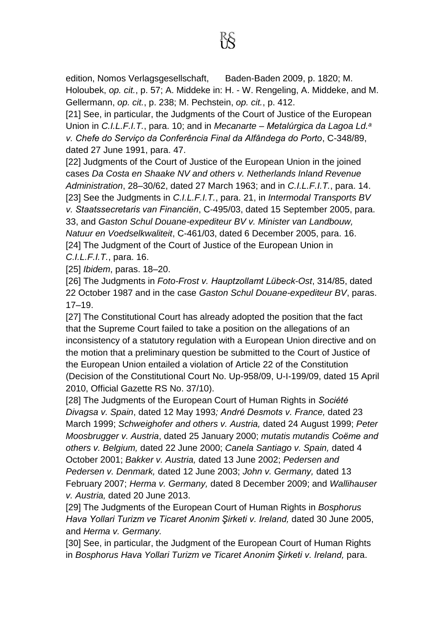edition, Nomos Verlagsgesellschaft, Baden-Baden 2009, p. 1820; M. Holoubek, *op. cit.*, p. 57; A. Middeke in: H. - W. Rengeling, A. Middeke, and M. Gellermann, *op. cit.*, p. 238; M. Pechstein, *op. cit.*, p. 412.

[21] See, in particular, the Judgments of the Court of Justice of the European Union in *C.I.L.F.I.T.*, para. 10; and in *Mecanarte – Metalúrgica da Lagoa Ld.<sup>a</sup> v. Chefe do Serviço da Conferência Final da Alfândega do Porto*, C-348/89, dated 27 June 1991, para. 47.

[22] Judgments of the Court of Justice of the European Union in the joined cases *Da Costa en Shaake NV and others v. Netherlands Inland Revenue Administration*, 28–30/62, dated 27 March 1963; and in *C.I.L.F.I.T.*, para. 14. [23] See the Judgments in *C.I.L.F.I.T.*, para. 21, in *Intermodal Transports BV v. Staatssecretaris van Financiën*, C-495/03, dated 15 September 2005, para. 33, and *Gaston Schul Douane-expediteur BV v. Minister van Landbouw, Natuur en Voedselkwaliteit*, C-461/03, dated 6 December 2005, para. 16. [24] The Judgment of the Court of Justice of the European Union in *C.I.L.F.I.T.*, para. 16.

[25] *Ibidem*, paras. 18–20.

[26] The Judgments in *Foto-Frost v. Hauptzollamt Lübeck-Ost*, 314/85, dated 22 October 1987 and in the case *Gaston Schul Douane-expediteur BV*, paras. 17–19.

[27] The Constitutional Court has already adopted the position that the fact that the Supreme Court failed to take a position on the allegations of an inconsistency of a statutory regulation with a European Union directive and on the motion that a preliminary question be submitted to the Court of Justice of the European Union entailed a violation of Article 22 of the Constitution (Decision of the Constitutional Court No. Up-958/09, U-I-199/09, dated 15 April 2010, Official Gazette RS No. 37/10).

[28] The Judgments of the European Court of Human Rights in *Société Divagsa v. Spain*, dated 12 May 1993*; André Desmots v. France,* dated 23 March 1999; *Schweighofer and others v. Austria,* dated 24 August 1999; *Peter Moosbrugger v. Austria*, dated 25 January 2000; *mutatis mutandis Coëme and others v. Belgium,* dated 22 June 2000; *Canela Santiago v. Spain,* dated 4 October 2001; *Bakker v. Austria,* dated 13 June 2002; *Pedersen and Pedersen v. Denmark,* dated 12 June 2003; *John v. Germany,* dated 13 February 2007; *Herma v. Germany,* dated 8 December 2009; and *Wallihauser v. Austria,* dated 20 June 2013.

[29] The Judgments of the European Court of Human Rights in *Bosphorus Hava Yollari Turizm ve Ticaret Anonim Şirketi v. Ireland,* dated 30 June 2005, and *Herma v. Germany.*

[30] See, in particular, the Judgment of the European Court of Human Rights in *Bosphorus Hava Yollari Turizm ve Ticaret Anonim Şirketi v. Ireland,* para.